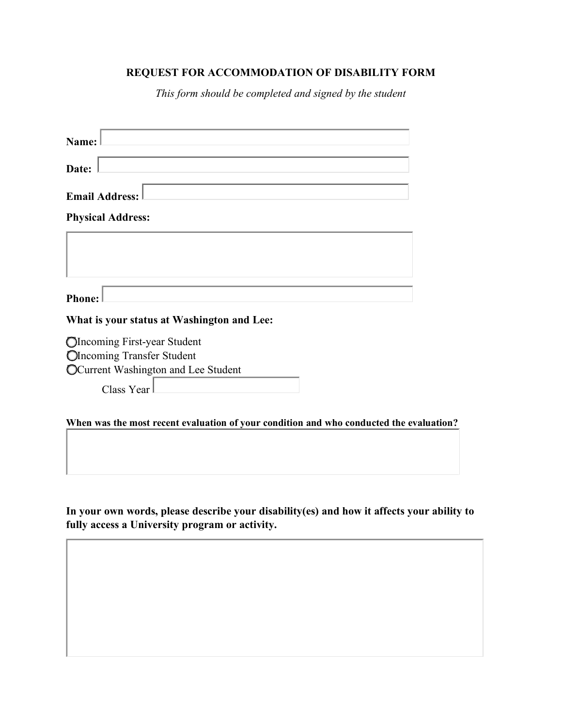## **REQUEST FOR ACCOMMODATION OF DISABILITY FORM**

*This form should be completed and signed by the student* 

| Name:                                                                                   |  |
|-----------------------------------------------------------------------------------------|--|
| Date:                                                                                   |  |
| <b>Email Address:</b>                                                                   |  |
| <b>Physical Address:</b>                                                                |  |
|                                                                                         |  |
|                                                                                         |  |
| <b>Phone:</b>                                                                           |  |
| What is your status at Washington and Lee:                                              |  |
| OIncoming First-year Student                                                            |  |
| <b>Olncoming Transfer Student</b>                                                       |  |
| OCurrent Washington and Lee Student                                                     |  |
| Class Year                                                                              |  |
| When was the most recent evaluation of your condition and who conducted the evaluation? |  |

**In your own words, please describe your disability(es) and how it affects your ability to fully access a University program or activity.**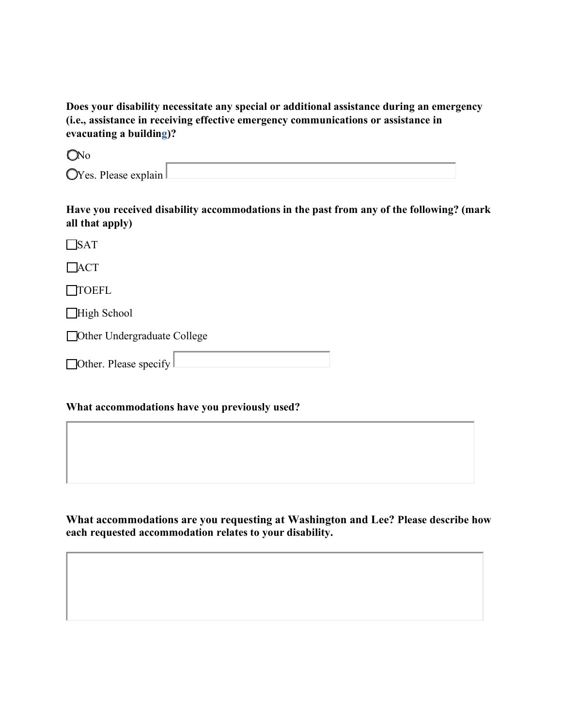**Does your disability necessitate any special or additional assistance during an emergency (i.e., assistance in receiving effective emergency communications or assistance in evacuating a building)?** 

**O**No

**Have you received disability accommodations in the past from any of the following? (mark all that apply)** 

**SAT** 

**LACT** 

**TOEFL** 

■High School

Other Undergraduate College

| $\Box$ Other. Please specify |  |
|------------------------------|--|

## **What accommodations have you previously used?**

**What accommodations are you requesting at Washington and Lee? Please describe how each requested accommodation relates to your disability.**